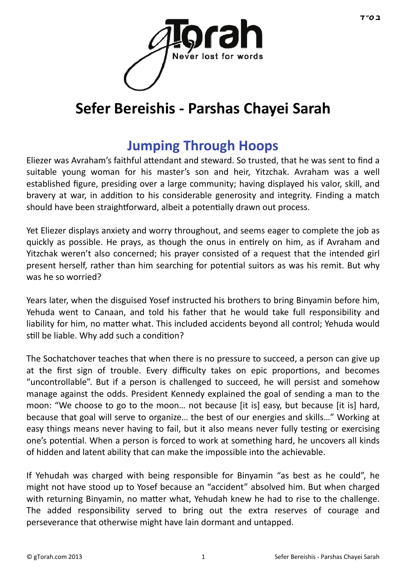

# **Sefer Bereishis - Parshas Chayei Sarah**

# **[Jumping Through Hoops](http://gtorah.com/2013/10/23/jumping-through-hoops/)**

Eliezer was Avraham's faithful attendant and steward. So trusted, that he was sent to find a suitable young woman for his master's son and heir, Yitzchak. Avraham was a well established figure, presiding over a large community; having displayed his valor, skill, and bravery at war, in addition to his considerable generosity and integrity. Finding a match should have been straightforward, albeit a potentially drawn out process.

Yet Eliezer displays anxiety and worry throughout, and seems eager to complete the job as quickly as possible. He prays, as though the onus in entirely on him, as if Avraham and Yitzchak weren't also concerned; his prayer consisted of a request that the intended girl present herself, rather than him searching for potential suitors as was his remit. But why was he so worried?

Years later, when the disguised Yosef instructed his brothers to bring Binyamin before him, Yehuda went to Canaan, and told his father that he would take full responsibility and liability for him, no matter what. This included accidents beyond all control; Yehuda would still be liable. Why add such a condition?

The Sochatchover teaches that when there is no pressure to succeed, a person can give up at the first sign of trouble. Every difficulty takes on epic proportions, and becomes "uncontrollable". But if a person is challenged to succeed, he will persist and somehow manage against the odds. President Kennedy explained the goal of sending a man to the moon: "We choose to go to the moon… not because [it is] easy, but because [it is] hard, because that goal will serve to organize… the best of our energies and skills…" Working at easy things means never having to fail, but it also means never fully testing or exercising one's potential. When a person is forced to work at something hard, he uncovers all kinds of hidden and latent ability that can make the impossible into the achievable.

If Yehudah was charged with being responsible for Binyamin "as best as he could", he might not have stood up to Yosef because an "accident" absolved him. But when charged with returning Binyamin, no matter what, Yehudah knew he had to rise to the challenge. The added responsibility served to bring out the extra reserves of courage and perseverance that otherwise might have lain dormant and untapped.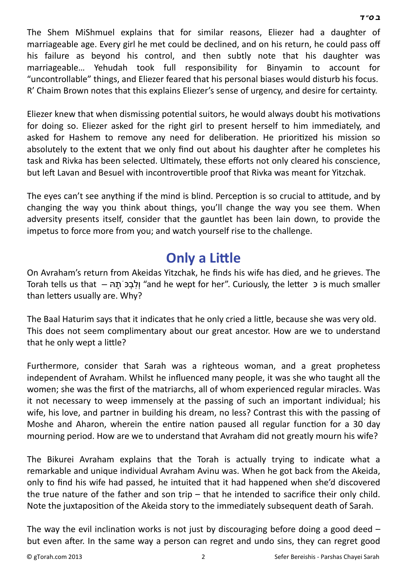The Shem MiShmuel explains that for similar reasons, Eliezer had a daughter of marriageable age. Every girl he met could be declined, and on his return, he could pass off his failure as beyond his control, and then subtly note that his daughter was marriageable… Yehudah took full responsibility for Binyamin to account for "uncontrollable" things, and Eliezer feared that his personal biases would disturb his focus. R' Chaim Brown notes that this explains Eliezer's sense of urgency, and desire for certainty.

Eliezer knew that when dismissing potential suitors, he would always doubt his motivations for doing so. Eliezer asked for the right girl to present herself to him immediately, and asked for Hashem to remove any need for deliberation. He prioritized his mission so absolutely to the extent that we only find out about his daughter after he completes his task and Rivka has been selected. Ultimately, these efforts not only cleared his conscience, but left Lavan and Besuel with incontrovertible proof that Rivka was meant for Yitzchak.

The eyes can't see anything if the mind is blind. Perception is so crucial to attitude, and by changing the way you think about things, you'll change the way you see them. When adversity presents itself, consider that the gauntlet has been lain down, to provide the impetus to force more from you; and watch yourself rise to the challenge.

### **[Only a Li](http://gtorah.com/2010/10/28/a-different-level-of-mourning/)ttle**

On Avraham's return from Akeidas Yitzchak, he finds his wife has died, and he grieves. The Torah tells us that  $-$  הָלְבָּכּ תָהּ, "and he wept for her". Curiously, the letter כּ is much smaller than letters usually are. Why?

The Baal Haturim says that it indicates that he only cried a little, because she was very old. This does not seem complimentary about our great ancestor. How are we to understand that he only wept a little?

Furthermore, consider that Sarah was a righteous woman, and a great prophetess independent of Avraham. Whilst he influenced many people, it was she who taught all the women; she was the first of the matriarchs, all of whom experienced regular miracles. Was it not necessary to weep immensely at the passing of such an important individual; his wife, his love, and partner in building his dream, no less? Contrast this with the passing of Moshe and Aharon, wherein the entire nation paused all regular function for a 30 day mourning period. How are we to understand that Avraham did not greatly mourn his wife?

The Bikurei Avraham explains that the Torah is actually trying to indicate what a remarkable and unique individual Avraham Avinu was. When he got back from the Akeida, only to find his wife had passed, he intuited that it had happened when she'd discovered the true nature of the father and son trip  $-$  that he intended to sacrifice their only child. Note the juxtaposition of the Akeida story to the immediately subsequent death of Sarah.

The way the evil inclination works is not just by discouraging before doing a good deed  $$ but even after. In the same way a person can regret and undo sins, they can regret good

 *[ב](http://en.wikipedia.org/wiki/Bet_%28letter%29) [ס](http://en.wikipedia.org/wiki/Samekh)" [ד](http://en.wikipedia.org/wiki/Dalet)*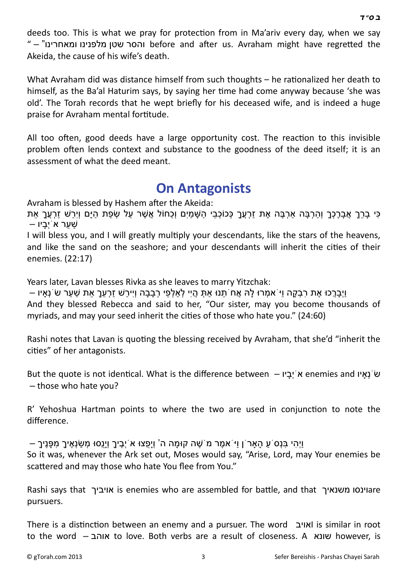deeds too. This is what we pray for protection from in Ma'ariv every day, when we say " – "והסר שטן מלפנינו ומאחרינו" before and after us. Avraham might have regretted the Akeida, the cause of his wife's death.

What Avraham did was distance himself from such thoughts  $-$  he rationalized her death to himself, as the Ba'al Haturim says, by saying her time had come anyway because 'she was old'. The Torah records that he wept briefly for his deceased wife, and is indeed a huge praise for Avraham mental fortitude.

All too often, good deeds have a large opportunity cost. The reaction to this invisible problem often lends context and substance to the goodness of the deed itself; it is an assessment of what the deed meant.

#### **[On Antagonists](http://gtorah.com/2010/05/23/dvar-torah-enemies-and-haters/)**

Avraham is blessed by Hashem after the Akeida:

ַ כִּי בַרְרָ אֲבַרֶכָּךְ וְהַרְבֵּה אַרְבֶּה אֶת זַרְעֶךְ כָּכוֹכְבֵי הַשָּׁמִים וְכַחוֹל אֲשֶׁר עַל שָׂפַת הַיַּם וְיָרֹשׁ זַרְעֶךָ אִת שַׁ עַ ר אֹיְבָ יו –

I will bless you, and I will greatly multiply your descendants, like the stars of the heavens, and like the sand on the seashore; and your descendants will inherit the cities of their enemies. (22:17)

Years later, Lavan blesses Rivka as she leaves to marry Yitzchak:

וַיְבָרֲכוּ אֶת רִבְקָה וַיּ ֹאמְרוּ לָהּ אֲחֹתֵנוּ אַתְּ הָיִי לְאַלְפֵי רְבָבָה וְיִירַשׁ זַרְעֶךְ אֶת שַׁעַר שֹׂנְאָיו – And they blessed Rebecca and said to her, "Our sister, may you become thousands of myriads, and may your seed inherit the cities of those who hate you." (24:60)

Rashi notes that Lavan is quoting the blessing received by Avraham, that she'd "inherit the cities" of her antagonists.

But the quote is not identical. What is the difference between – יוֹבְיוֹ enemies and אֹיְבָיוֹ enemies and א – those who hate you?

R' Yehoshua Hartman points to where the two are used in conjunction to note the difference.

ּ יְיָהִי בְּנָס<sup>ֹ</sup> עַ הָאַר ֹן וַיּ ֹאמֶר מ´שֶׁה קוּמַה ה' וְיַפֶּצוּ א<sup>ָי</sup>יָבֵיךָ וְיַנֵסוּ מִשׂנָאֵיךָ מִפּנֵיך

So it was, whenever the Ark set out, Moses would say, "Arise, Lord, may Your enemies be scattered and may those who hate You flee from You."

Rashi says that אויביך is enemies who are assembled for battle, and that וינסו משנאיך pursuers.

There is a distinction between an enemy and a pursuer. The word ואויבI is similar in root to the word – אוהב to love. Both verbs are a result of closeness. A שונא however, is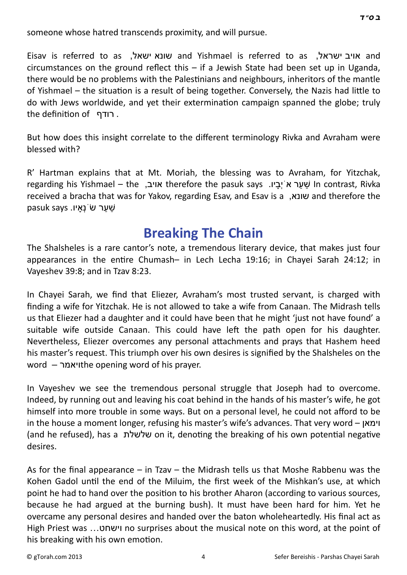someone whose hatred transcends proximity, and will pursue.

Eisav is referred to as ,ישאל שונא and Yishmael is referred to as ,ישראל אויב and circumstances on the ground reflect this  $-$  if a Jewish State had been set up in Uganda, there would be no problems with the Palestinians and neighbours, inheritors of the mantle of Yishmael – the situation is a result of being together. Conversely, the Nazis had little to do with Jews worldwide, and yet their extermination campaign spanned the globe; truly the definition of רודף

But how does this insight correlate to the different terminology Rivka and Avraham were blessed with?

R' Hartman explains that at Mt. Moriah, the blessing was to Avraham, for Yitzchak, regarding his Yishmael – the ,אויב therefore the pasuk says .יו ָבְיֹא רַע ַשׁ In contrast, Rivka received a bracha that was for Yakov, regarding Esav, and Esav is a ,שונא and therefore the pasuk says שׁער שׂ`נָאיו.

#### **[Breaking The Chain](http://gtorah.com/2009/11/02/breaking-the-chain/)**

The Shalsheles is a rare cantor's note, a tremendous literary device, that makes just four appearances in the entire Chumash– in Lech Lecha 19:16; in Chayei Sarah 24:12; in Vayeshev 39:8; and in Tzav 8:23.

In Chayei Sarah, we find that Eliezer, Avraham's most trusted servant, is charged with finding a wife for Yitzchak. He is not allowed to take a wife from Canaan. The Midrash tells us that Eliezer had a daughter and it could have been that he might 'just not have found' a suitable wife outside Canaan. This could have left the path open for his daughter. Nevertheless, Eliezer overcomes any personal attachments and prays that Hashem heed his master's request. This triumph over his own desires is signified by the Shalsheles on the word – ויאמר**Word – ויאמר** 

In Vayeshev we see the tremendous personal struggle that Joseph had to overcome. Indeed, by running out and leaving his coat behind in the hands of his master's wife, he got himself into more trouble in some ways. But on a personal level, he could not afford to be in the house a moment longer, refusing his master's wife's advances. That very word – וימאן (and he refused), has a שלשלת on it, denoting the breaking of his own potential negative desires.

As for the final appearance – in Tzav – the Midrash tells us that Moshe Rabbenu was the Kohen Gadol until the end of the Miluim, the first week of the Mishkan's use, at which point he had to hand over the position to his brother Aharon (according to various sources, because he had argued at the burning bush). It must have been hard for him. Yet he overcame any personal desires and handed over the baton wholeheartedly. His final act as High Priest was …וישחט no surprises about the musical note on this word, at the point of his breaking with his own emotion.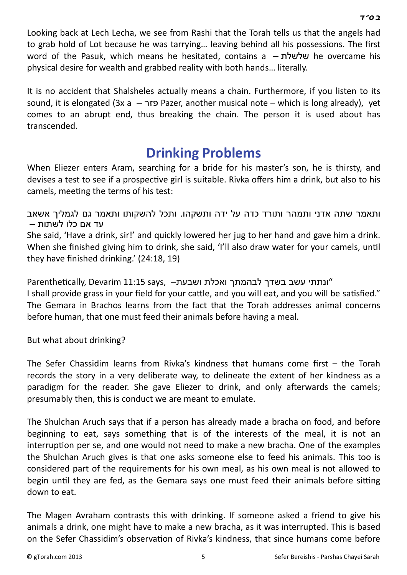Looking back at Lech Lecha, we see from Rashi that the Torah tells us that the angels had to grab hold of Lot because he was tarrying… leaving behind all his possessions. The first word of the Pasuk, which means he hesitated, contains a – שלשלת he overcame his physical desire for wealth and grabbed reality with both hands… literally.

It is no accident that Shalsheles actually means a chain. Furthermore, if you listen to its sound, it is elongated (3x a  $-$  פזר $-$  Pazer, another musical note – which is long already), yet comes to an abrupt end, thus breaking the chain. The person it is used about has transcended.

### **[Drinking Problems](http://gtorah.com/2000/10/28/drinking-problems/)**

When Eliezer enters Aram, searching for a bride for his master's son, he is thirsty, and devises a test to see if a prospective girl is suitable. Rivka offers him a drink, but also to his camels, meeting the terms of his test:

ותאמר שתה אדני ותמהר ותורד כדה על ידה ותשקהו. ותכל להשקותו ותאמר גם לגמליך אשאב עד אם כלו לשתות –

She said, 'Have a drink, sir!' and quickly lowered her jug to her hand and gave him a drink. When she finished giving him to drink, she said, 'I'll also draw water for your camels, until they have finished drinking.' (24:18, 19)

ונתתי עשב בשדך לבהמתך ואכלת ושבעת – ,Parenthetically, Devarim 11:15 says I shall provide grass in your field for your cattle, and you will eat, and you will be satisfied." The Gemara in Brachos learns from the fact that the Torah addresses animal concerns before human, that one must feed their animals before having a meal.

But what about drinking?

The Sefer Chassidim learns from Rivka's kindness that humans come first – the Torah records the story in a very deliberate way, to delineate the extent of her kindness as a paradigm for the reader. She gave Eliezer to drink, and only afterwards the camels; presumably then, this is conduct we are meant to emulate.

The Shulchan Aruch says that if a person has already made a bracha on food, and before beginning to eat, says something that is of the interests of the meal, it is not an interruption per se, and one would not need to make a new bracha. One of the examples the Shulchan Aruch gives is that one asks someone else to feed his animals. This too is considered part of the requirements for his own meal, as his own meal is not allowed to begin until they are fed, as the Gemara says one must feed their animals before sitting down to eat.

The Magen Avraham contrasts this with drinking. If someone asked a friend to give his animals a drink, one might have to make a new bracha, as it was interrupted. This is based on the Sefer Chassidim's observation of Rivka's kindness, that since humans come before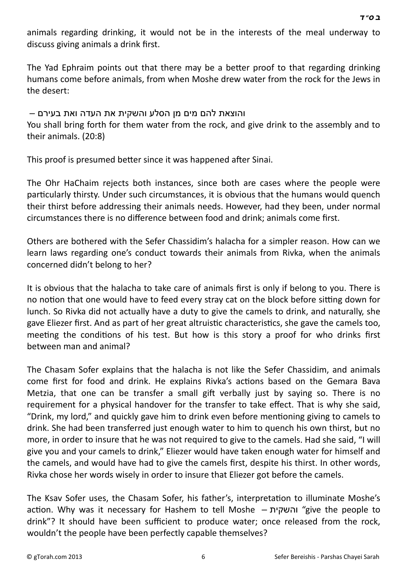animals regarding drinking, it would not be in the interests of the meal underway to discuss giving animals a drink first.

The Yad Ephraim points out that there may be a better proof to that regarding drinking humans come before animals, from when Moshe drew water from the rock for the Jews in the desert:

# והוצאת להם מים מן הסלע והשקית את העדה ואת בעירם –

You shall bring forth for them water from the rock, and give drink to the assembly and to their animals. (20:8)

This proof is presumed better since it was happened after Sinai.

The Ohr HaChaim rejects both instances, since both are cases where the people were particularly thirsty. Under such circumstances, it is obvious that the humans would quench their thirst before addressing their animals needs. However, had they been, under normal circumstances there is no difference between food and drink; animals come first.

Others are bothered with the Sefer Chassidim's halacha for a simpler reason. How can we learn laws regarding one's conduct towards their animals from Rivka, when the animals concerned didn't belong to her?

It is obvious that the halacha to take care of animals first is only if belong to you. There is no notion that one would have to feed every stray cat on the block before sitting down for lunch. So Rivka did not actually have a duty to give the camels to drink, and naturally, she gave Eliezer first. And as part of her great altruistic characteristics, she gave the camels too, meeting the conditions of his test. But how is this story a proof for who drinks first between man and animal?

The Chasam Sofer explains that the halacha is not like the Sefer Chassidim, and animals come first for food and drink. He explains Rivka's actions based on the Gemara Bava Metzia, that one can be transfer a small gift verbally just by saying so. There is no requirement for a physical handover for the transfer to take effect. That is why she said, "Drink, my lord," and quickly gave him to drink even before mentioning giving to camels to drink. She had been transferred just enough water to him to quench his own thirst, but no more, in order to insure that he was not required to give to the camels. Had she said, "I will give you and your camels to drink," Eliezer would have taken enough water for himself and the camels, and would have had to give the camels first, despite his thirst. In other words, Rivka chose her words wisely in order to insure that Eliezer got before the camels.

The Ksav Sofer uses, the Chasam Sofer, his father's, interpretation to illuminate Moshe's acƟon. Why was it necessary for Hashem to tell Moshe – והשקית" give the people to drink"? It should have been sufficient to produce water; once released from the rock, wouldn't the people have been perfectly capable themselves?